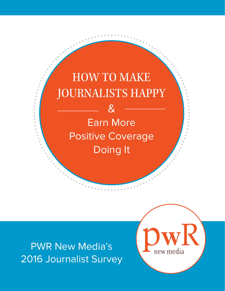# HOW TO MAKE JOURNALISTS HAPPY

& Earn More Positive Coverage Doing It

PWR New Media's 2016 Journalist Survey

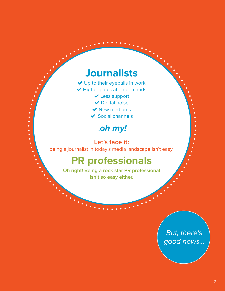## **Journalists**

- ◆ Up to their eyeballs in work
- $\blacktriangleright$  Higher publication demands
	- ◆ Less support
	- ◆ Digital noise
	- $\blacktriangleright$  New mediums
	- $\blacktriangleright$  Social channels

### …*oh my!*

 $\frac{1}{2}$  ,  $\frac{1}{2}$  ,  $\frac{1}{2}$  ,  $\frac{1}{2}$  ,  $\frac{1}{2}$  ,  $\frac{1}{2}$  ,  $\frac{1}{2}$ 

#### Let's face it:

being a journalist in today's media landscape isn't easy.

## **PR professionals**

**Oh right! Being a rock star PR professional isn't so easy either.**

> *But, there's good news...*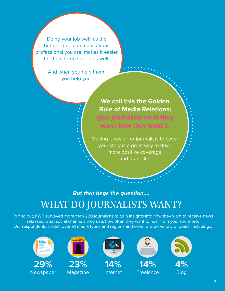Doing your job well, as the buttoned up communications professional you are, makes it easier for them to do their jobs well.

> And when you help them, you help you.

> > **We call this the Golden Rule of Media Relations: give journalists what they want, how they want it.**

Making it easier for journalists to cover your story is a great way to drive more positive coverage and brand lift.

## *But that begs the question….* WHAT DO JOURNALISTS WANT?

To find out, PWR surveyed more than 220 journalists to gain insights into how they want to receive news releases, what social channels they use, how often they want to hear from you, and more. Our respondents stretch over all media types and regions and cover a wide variety of beats, including…





**23%** Magazine



**14%** Internet







Blog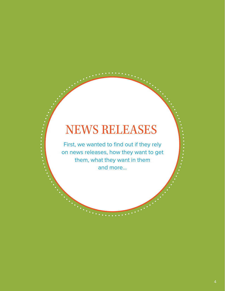# NEWS RELEASES

First, we wanted to find out if they rely on news releases, how they want to get them, what they want in them and more…

**.** . . . . . .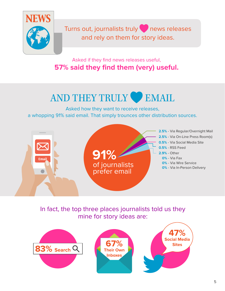

Turns out, journalists truly news releases and rely on them for story ideas.

Asked if they find news releases useful, **57% said they find them (very) useful.**

# AND THEY TRULY EMAIL

Asked how they want to receive releases, a whopping 91% said email. That simply trounces other distribution sources.



In fact, the top three places journalists told us they mine for story ideas are:

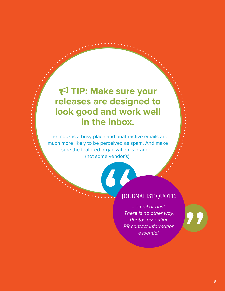## **TIP: Make sure your releases are designed to look good and work well in the inbox.**

The inbox is a busy place and unattractive emails are much more likely to be perceived as spam. And make sure the featured organization is branded (not some vendor's).

#### JOURNALIST QUOTE:

The Vendor St. *...email or bust. There is no other way. Photos essential. PR contact information essential.*

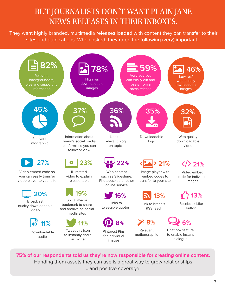### BUT JOURNALISTS DON'T WANT PLAIN JANE NEWS RELEASES IN THEIR INBOXES.

They want highly branded, multimedia releases loaded with content they can transfer to their sites and publications. When asked, they rated the following (very) important...



**75% of our respondents told us they're now responsible for creating online content.**  Handing them assets they can use is a great way to grow relationships …and positive coverage.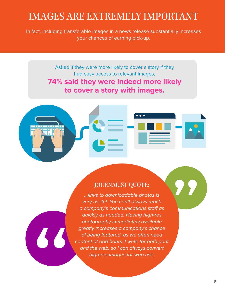## IMAGES ARE EXTREMELY IMPORTANT

In fact, including transferable images in a news release substantially increases your chances of earning pick-up.

> Asked if they were more likely to cover a story if they had easy access to relevant images,

**74% said they were indeed more likely to cover a story with images.**



#### JOURNALIST QUOTE:

*...links to downloadable photos is very useful. You can't always reach a company's communications staff as quickly as needed. Having high-res photography immediately available greatly increases a company's chance of being featured, as we often need content at odd hours. I write for both print and the web, so I can always convert high-res images for web use.*

66

**PP**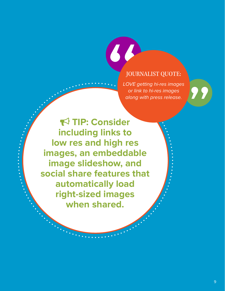#### JOURNALIST QUOTE:

88

*LOVE getting hi-res images or link to hi-res images along with press release.*

 **TIP: Consider including links to low res and high res images, an embeddable image slideshow, and social share features that automatically load right-sized images when shared.**

**W**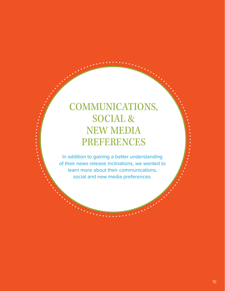## COMMUNICATIONS, SOCIAL & NEW MEDIA PREFERENCES

 $\frac{1}{2}$  ,  $\frac{1}{2}$  ,  $\frac{1}{2}$  ,  $\frac{1}{2}$  ,  $\frac{1}{2}$  ,  $\frac{1}{2}$  ,  $\frac{1}{2}$ 

In addition to gaining a better understanding of their news release inclinations, we wanted to learn more about their communications, social and new media preferences.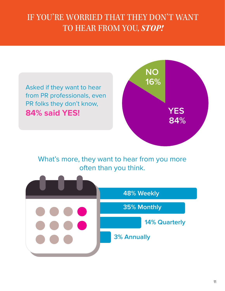## IF YOU'RE WORRIED THAT THEY DON'T WANT TO HEAR FROM YOU, *STOP!*



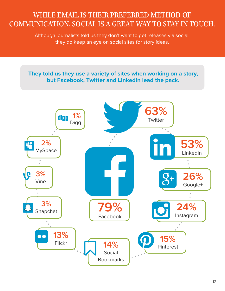### WHILE EMAIL IS THEIR PREFERRED METHOD OF COMMUNICATION, SOCIAL IS A GREAT WAY TO STAY IN TOUCH.

Although journalists told us they don't want to get releases via social, they do keep an eye on social sites for story ideas.



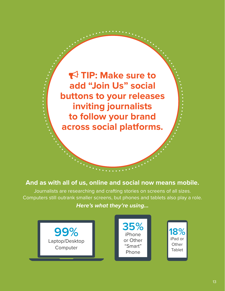**TIP: Make sure to add "Join Us" social buttons to your releases inviting journalists to follow your brand across social platforms.**

 $\frac{1}{2}$  ,  $\frac{1}{2}$  ,  $\frac{1}{2}$  ,  $\frac{1}{2}$  ,  $\frac{1}{2}$  ,  $\frac{1}{2}$  ,  $\frac{1}{2}$  ,  $\frac{1}{2}$  ,  $\frac{1}{2}$  ,  $\frac{1}{2}$ 

#### **And as with all of us, online and social now means mobile.**

Journalists are researching and crafting stories on screens of all sizes. Computers still outrank smaller screens, but phones and tablets also play a role.

#### *Here's what they're using…*

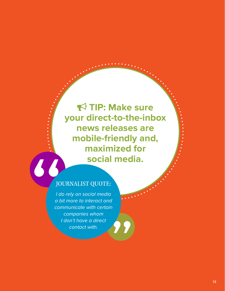**TIP: Make sure your direct-to-the-inbox news releases are mobile-friendly and, maximized for social media.**

#### JOURNALIST QUOTE:

"

**W** *I do rely on social media a bit more to interact and communicate with certain companies whom I don't have a direct contact with.*